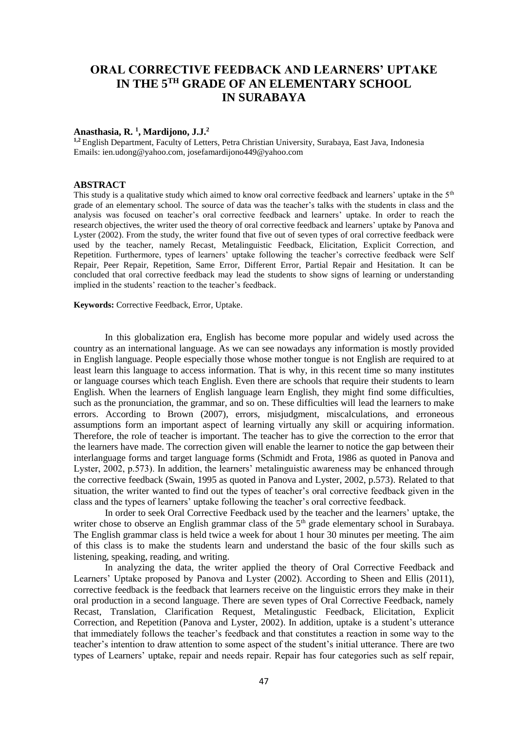# **ORAL CORRECTIVE FEEDBACK AND LEARNERS' UPTAKE IN THE 5TH GRADE OF AN ELEMENTARY SCHOOL IN SURABAYA**

### **Anasthasia, R. <sup>1</sup> , Mardijono, J.J.<sup>2</sup>**

**1,2** English Department, Faculty of Letters, Petra Christian University, Surabaya, East Java, Indonesia Emails: ien.udong@yahoo.com, josefamardijono449@yahoo.com

# **ABSTRACT**

This study is a qualitative study which aimed to know oral corrective feedback and learners' uptake in the 5<sup>th</sup> grade of an elementary school. The source of data was the teacher's talks with the students in class and the analysis was focused on teacher's oral corrective feedback and learners' uptake. In order to reach the research objectives, the writer used the theory of oral corrective feedback and learners' uptake by Panova and Lyster (2002). From the study, the writer found that five out of seven types of oral corrective feedback were used by the teacher, namely Recast, Metalinguistic Feedback, Elicitation, Explicit Correction, and Repetition. Furthermore, types of learners' uptake following the teacher's corrective feedback were Self Repair, Peer Repair, Repetition, Same Error, Different Error, Partial Repair and Hesitation. It can be concluded that oral corrective feedback may lead the students to show signs of learning or understanding implied in the students' reaction to the teacher's feedback.

**Keywords:** Corrective Feedback, Error, Uptake.

In this globalization era, English has become more popular and widely used across the country as an international language. As we can see nowadays any information is mostly provided in English language. People especially those whose mother tongue is not English are required to at least learn this language to access information. That is why, in this recent time so many institutes or language courses which teach English. Even there are schools that require their students to learn English. When the learners of English language learn English, they might find some difficulties, such as the pronunciation, the grammar, and so on. These difficulties will lead the learners to make errors. According to Brown (2007), errors, misjudgment, miscalculations, and erroneous assumptions form an important aspect of learning virtually any skill or acquiring information. Therefore, the role of teacher is important. The teacher has to give the correction to the error that the learners have made. The correction given will enable the learner to notice the gap between their interlanguage forms and target language forms (Schmidt and Frota, 1986 as quoted in Panova and Lyster, 2002, p.573). In addition, the learners' metalinguistic awareness may be enhanced through the corrective feedback (Swain, 1995 as quoted in Panova and Lyster, 2002, p.573). Related to that situation, the writer wanted to find out the types of teacher's oral corrective feedback given in the class and the types of learners' uptake following the teacher's oral corrective feedback.

In order to seek Oral Corrective Feedback used by the teacher and the learners' uptake, the writer chose to observe an English grammar class of the 5<sup>th</sup> grade elementary school in Surabaya. The English grammar class is held twice a week for about 1 hour 30 minutes per meeting. The aim of this class is to make the students learn and understand the basic of the four skills such as listening, speaking, reading, and writing.

In analyzing the data, the writer applied the theory of Oral Corrective Feedback and Learners' Uptake proposed by Panova and Lyster (2002). According to Sheen and Ellis (2011), corrective feedback is the feedback that learners receive on the linguistic errors they make in their oral production in a second language. There are seven types of Oral Corrective Feedback, namely Recast, Translation, Clarification Request, Metalingustic Feedback, Elicitation, Explicit Correction, and Repetition (Panova and Lyster, 2002). In addition, uptake is a student's utterance that immediately follows the teacher's feedback and that constitutes a reaction in some way to the teacher's intention to draw attention to some aspect of the student's initial utterance. There are two types of Learners' uptake, repair and needs repair. Repair has four categories such as self repair,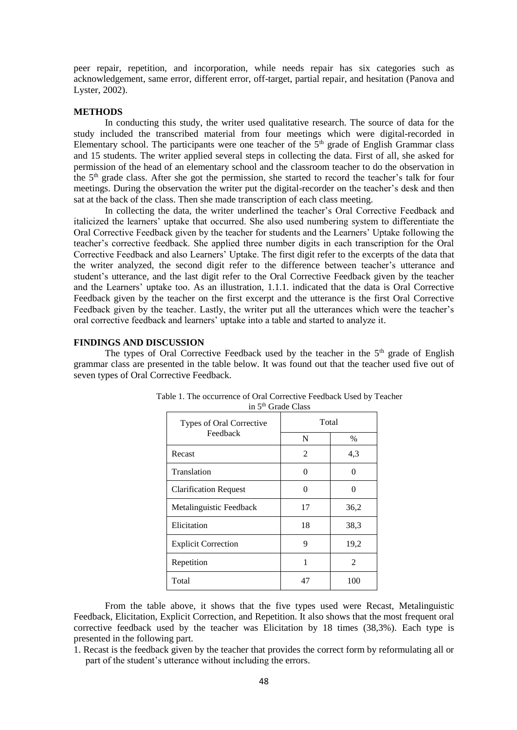peer repair, repetition, and incorporation, while needs repair has six categories such as acknowledgement, same error, different error, off-target, partial repair, and hesitation (Panova and Lyster, 2002).

# **METHODS**

In conducting this study, the writer used qualitative research. The source of data for the study included the transcribed material from four meetings which were digital-recorded in Elementary school. The participants were one teacher of the  $5<sup>th</sup>$  grade of English Grammar class and 15 students. The writer applied several steps in collecting the data. First of all, she asked for permission of the head of an elementary school and the classroom teacher to do the observation in the  $5<sup>th</sup>$  grade class. After she got the permission, she started to record the teacher's talk for four meetings. During the observation the writer put the digital-recorder on the teacher's desk and then sat at the back of the class. Then she made transcription of each class meeting.

In collecting the data, the writer underlined the teacher's Oral Corrective Feedback and italicized the learners' uptake that occurred. She also used numbering system to differentiate the Oral Corrective Feedback given by the teacher for students and the Learners' Uptake following the teacher's corrective feedback. She applied three number digits in each transcription for the Oral Corrective Feedback and also Learners' Uptake. The first digit refer to the excerpts of the data that the writer analyzed, the second digit refer to the difference between teacher's utterance and student's utterance, and the last digit refer to the Oral Corrective Feedback given by the teacher and the Learners' uptake too. As an illustration, 1.1.1. indicated that the data is Oral Corrective Feedback given by the teacher on the first excerpt and the utterance is the first Oral Corrective Feedback given by the teacher. Lastly, the writer put all the utterances which were the teacher's oral corrective feedback and learners' uptake into a table and started to analyze it.

### **FINDINGS AND DISCUSSION**

The types of Oral Corrective Feedback used by the teacher in the 5<sup>th</sup> grade of English grammar class are presented in the table below. It was found out that the teacher used five out of seven types of Oral Corrective Feedback.

| Types of Oral Corrective<br>Feedback | Total    |                |
|--------------------------------------|----------|----------------|
|                                      | N        | $\%$           |
| Recast                               | 2        | 4,3            |
| Translation                          | 0        | 0              |
| <b>Clarification Request</b>         | $\Omega$ | 0              |
| Metalinguistic Feedback              | 17       | 36,2           |
| Elicitation                          | 18       | 38,3           |
| <b>Explicit Correction</b>           | 9        | 19,2           |
| Repetition                           | 1        | $\mathfrak{D}$ |
| Total                                | 47       | 100            |

| Table 1. The occurrence of Oral Corrective Feedback Used by Teacher |  |
|---------------------------------------------------------------------|--|
| in 5 <sup>th</sup> Grade Class                                      |  |

From the table above, it shows that the five types used were Recast, Metalinguistic Feedback, Elicitation, Explicit Correction, and Repetition. It also shows that the most frequent oral corrective feedback used by the teacher was Elicitation by 18 times (38,3%). Each type is presented in the following part.

1. Recast is the feedback given by the teacher that provides the correct form by reformulating all or part of the student's utterance without including the errors.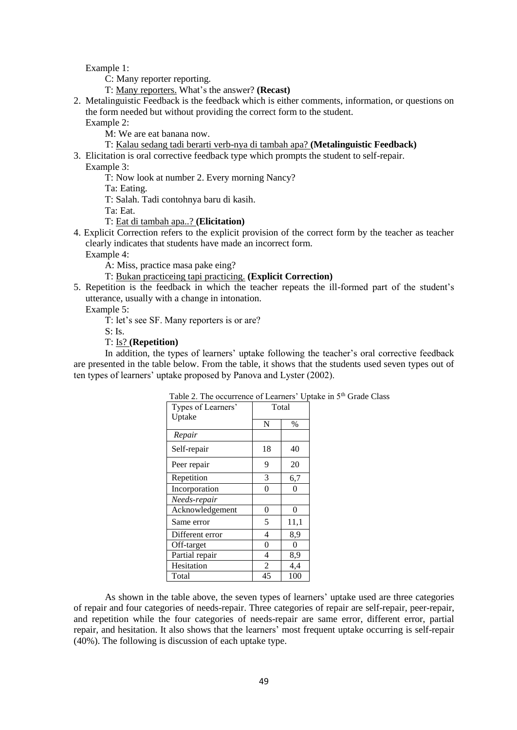Example 1:

C: Many reporter reporting.

T: Many reporters. What's the answer? **(Recast)**

2. Metalinguistic Feedback is the feedback which is either comments, information, or questions on the form needed but without providing the correct form to the student.

Example 2:

M: We are eat banana now.

- T: Kalau sedang tadi berarti verb-nya di tambah apa? **(Metalinguistic Feedback)**
- 3. Elicitation is oral corrective feedback type which prompts the student to self-repair.

Example 3:

T: Now look at number 2. Every morning Nancy?

Ta: Eating.

T: Salah. Tadi contohnya baru di kasih.

Ta: Eat.

T: Eat di tambah apa..? **(Elicitation)**

4. Explicit Correction refers to the explicit provision of the correct form by the teacher as teacher clearly indicates that students have made an incorrect form.

Example 4:

A: Miss, practice masa pake eing?

- T: Bukan practiceing tapi practicing. **(Explicit Correction)**
- 5. Repetition is the feedback in which the teacher repeats the ill-formed part of the student's utterance, usually with a change in intonation.

Example 5:

T: let's see SF. Many reporters is or are?

 $S: Is.$ 

# T: Is? **(Repetition)**

In addition, the types of learners' uptake following the teacher's oral corrective feedback are presented in the table below. From the table, it shows that the students used seven types out of ten types of learners' uptake proposed by Panova and Lyster (2002).

| <b>Table 2.</b> The occurrence of Learners $\psi$ up |                |      |  |
|------------------------------------------------------|----------------|------|--|
| Types of Learners'                                   | Total          |      |  |
| Uptake                                               |                |      |  |
|                                                      | N              | $\%$ |  |
| Repair                                               |                |      |  |
| Self-repair                                          | 18             | 40   |  |
| Peer repair                                          | 9              | 20   |  |
| Repetition                                           | 3              | 6,7  |  |
| Incorporation                                        | 0              | 0    |  |
| Needs-repair                                         |                |      |  |
| Acknowledgement                                      | 0              | 0    |  |
| Same error                                           | 5              | 11,1 |  |
| Different error                                      | 4              | 8,9  |  |
| Off-target                                           | 0              | 0    |  |
| Partial repair                                       | 4              | 8,9  |  |
| Hesitation                                           | $\overline{2}$ | 4,4  |  |
| Total                                                | 45             | 100  |  |

Table 2. The occurrence of Learners' Uptake in 5th Grade Class

As shown in the table above, the seven types of learners' uptake used are three categories of repair and four categories of needs-repair. Three categories of repair are self-repair, peer-repair, and repetition while the four categories of needs-repair are same error, different error, partial repair, and hesitation. It also shows that the learners' most frequent uptake occurring is self-repair (40%). The following is discussion of each uptake type.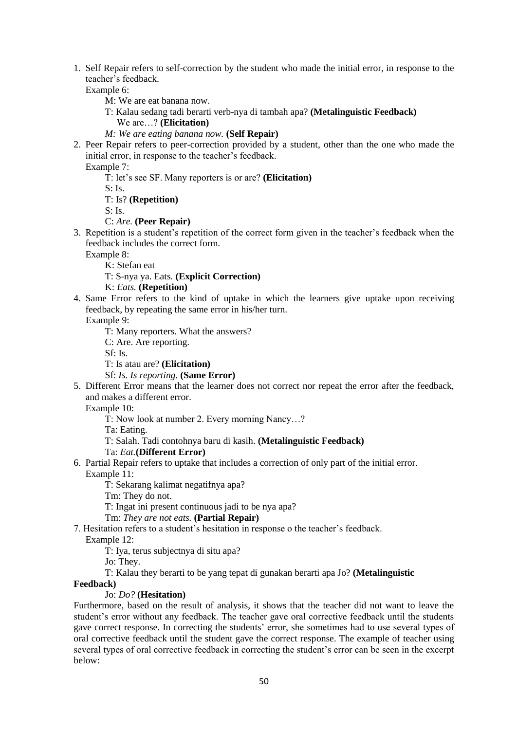1. Self Repair refers to self-correction by the student who made the initial error, in response to the teacher's feedback.

Example 6:

- M: We are eat banana now.
- T: Kalau sedang tadi berarti verb-nya di tambah apa? **(Metalinguistic Feedback)**

We are…? **(Elicitation)**

- *M: We are eating banana now.* **(Self Repair)**
- 2. Peer Repair refers to peer-correction provided by a student, other than the one who made the initial error, in response to the teacher's feedback.

Example 7:

T: let's see SF. Many reporters is or are? **(Elicitation)**

 $S: Is.$ 

T: Is? **(Repetition)**

S: Is.

- C: *Are.* **(Peer Repair)**
- 3. Repetition is a student's repetition of the correct form given in the teacher's feedback when the feedback includes the correct form.

Example 8:

K: Stefan eat

T: S-nya ya. Eats. **(Explicit Correction)**

K: *Eats.* **(Repetition)**

4. Same Error refers to the kind of uptake in which the learners give uptake upon receiving feedback, by repeating the same error in his/her turn.

Example 9:

T: Many reporters. What the answers?

C: Are. Are reporting.

Sf: Is.

T: Is atau are? **(Elicitation)**

Sf: *Is. Is reporting.* **(Same Error)**

5. Different Error means that the learner does not correct nor repeat the error after the feedback, and makes a different error.

Example 10:

T: Now look at number 2. Every morning Nancy…?

Ta: Eating.

T: Salah. Tadi contohnya baru di kasih. **(Metalinguistic Feedback)**

Ta: *Eat.***(Different Error)**

6. Partial Repair refers to uptake that includes a correction of only part of the initial error. Example 11:

T: Sekarang kalimat negatifnya apa?

Tm: They do not.

T: Ingat ini present continuous jadi to be nya apa?

Tm: *They are not eats.* **(Partial Repair)**

7. Hesitation refers to a student's hesitation in response o the teacher's feedback.

Example 12:

T: Iya, terus subjectnya di situ apa?

Jo: They.

T: Kalau they berarti to be yang tepat di gunakan berarti apa Jo? **(Metalinguistic** 

# **Feedback)**

#### Jo: *Do?* **(Hesitation)**

Furthermore, based on the result of analysis, it shows that the teacher did not want to leave the student's error without any feedback. The teacher gave oral corrective feedback until the students gave correct response. In correcting the students' error, she sometimes had to use several types of oral corrective feedback until the student gave the correct response. The example of teacher using several types of oral corrective feedback in correcting the student's error can be seen in the excerpt below: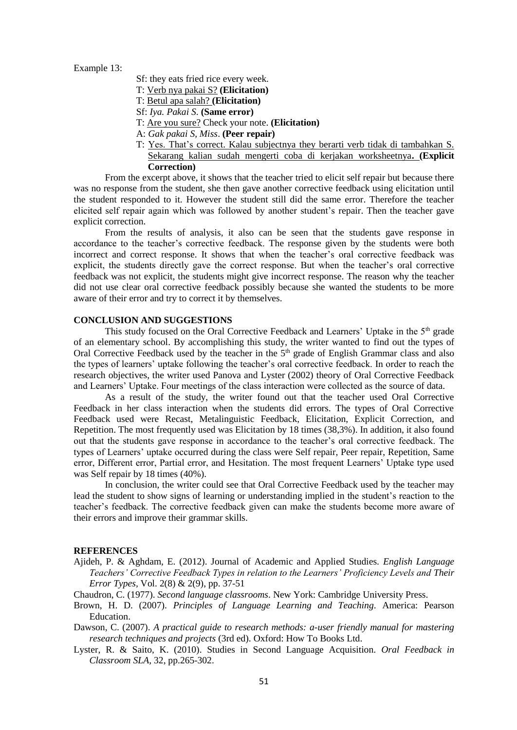Example 13:

- Sf: they eats fried rice every week.
- T: Verb nya pakai S? **(Elicitation)**
- T: Betul apa salah? **(Elicitation)**
- Sf: *Iya. Pakai S*. **(Same error)**
- T: Are you sure? Check your note. **(Elicitation)**
- A: *Gak pakai S, Miss*. **(Peer repair)**
- T: Yes. That's correct. Kalau subjectnya they berarti verb tidak di tambahkan S. Sekarang kalian sudah mengerti coba di kerjakan worksheetnya**. (Explicit Correction)**

From the excerpt above, it shows that the teacher tried to elicit self repair but because there was no response from the student, she then gave another corrective feedback using elicitation until the student responded to it. However the student still did the same error. Therefore the teacher elicited self repair again which was followed by another student's repair. Then the teacher gave explicit correction.

From the results of analysis, it also can be seen that the students gave response in accordance to the teacher's corrective feedback. The response given by the students were both incorrect and correct response. It shows that when the teacher's oral corrective feedback was explicit, the students directly gave the correct response. But when the teacher's oral corrective feedback was not explicit, the students might give incorrect response. The reason why the teacher did not use clear oral corrective feedback possibly because she wanted the students to be more aware of their error and try to correct it by themselves.

### **CONCLUSION AND SUGGESTIONS**

This study focused on the Oral Corrective Feedback and Learners' Uptake in the  $5<sup>th</sup>$  grade of an elementary school. By accomplishing this study, the writer wanted to find out the types of Oral Corrective Feedback used by the teacher in the 5<sup>th</sup> grade of English Grammar class and also the types of learners' uptake following the teacher's oral corrective feedback. In order to reach the research objectives, the writer used Panova and Lyster (2002) theory of Oral Corrective Feedback and Learners' Uptake. Four meetings of the class interaction were collected as the source of data.

As a result of the study, the writer found out that the teacher used Oral Corrective Feedback in her class interaction when the students did errors. The types of Oral Corrective Feedback used were Recast, Metalinguistic Feedback, Elicitation, Explicit Correction, and Repetition. The most frequently used was Elicitation by 18 times (38,3%). In addition, it also found out that the students gave response in accordance to the teacher's oral corrective feedback. The types of Learners' uptake occurred during the class were Self repair, Peer repair, Repetition, Same error, Different error, Partial error, and Hesitation. The most frequent Learners' Uptake type used was Self repair by 18 times (40%).

In conclusion, the writer could see that Oral Corrective Feedback used by the teacher may lead the student to show signs of learning or understanding implied in the student's reaction to the teacher's feedback. The corrective feedback given can make the students become more aware of their errors and improve their grammar skills.

#### **REFERENCES**

Ajideh, P. & Aghdam, E. (2012). Journal of Academic and Applied Studies. *English Language Teachers' Corrective Feedback Types in relation to the Learners' Proficiency Levels and Their Error Types,* Vol. 2(8) & 2(9), pp. 37-51

Chaudron, C. (1977). *Second language classrooms*. New York: Cambridge University Press.

Brown, H. D. (2007). *Principles of Language Learning and Teaching*. America: Pearson Education.

Dawson, C. (2007). *A practical guide to research methods: a-user friendly manual for mastering research techniques and projects* (3rd ed). Oxford: How To Books Ltd.

Lyster, R. & Saito, K. (2010). Studies in Second Language Acquisition. *Oral Feedback in Classroom SLA,* 32, pp.265-302.